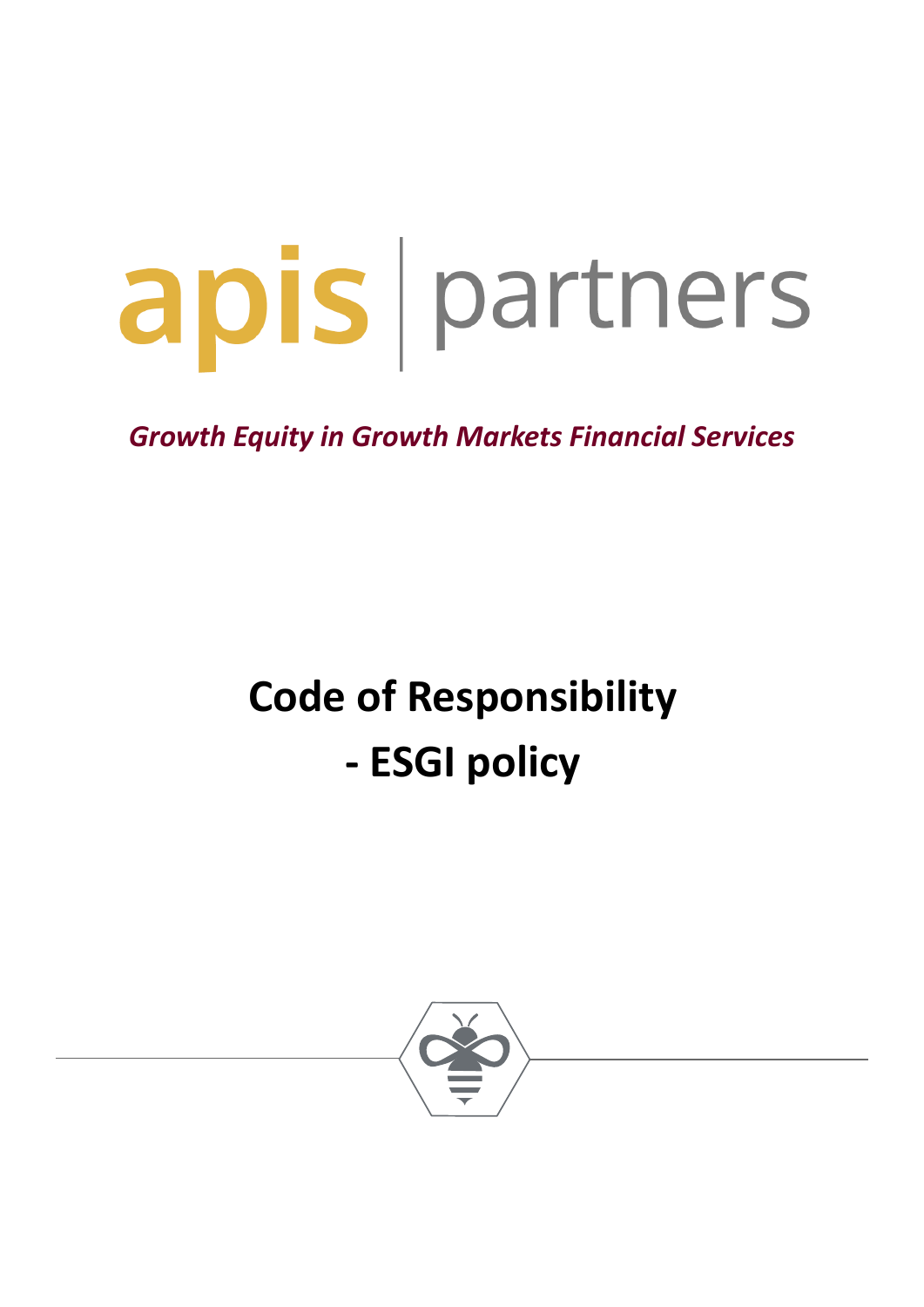# apis partners

*Growth Equity in Growth Markets Financial Services* 

# **Code of Responsibility - ESGI policy**

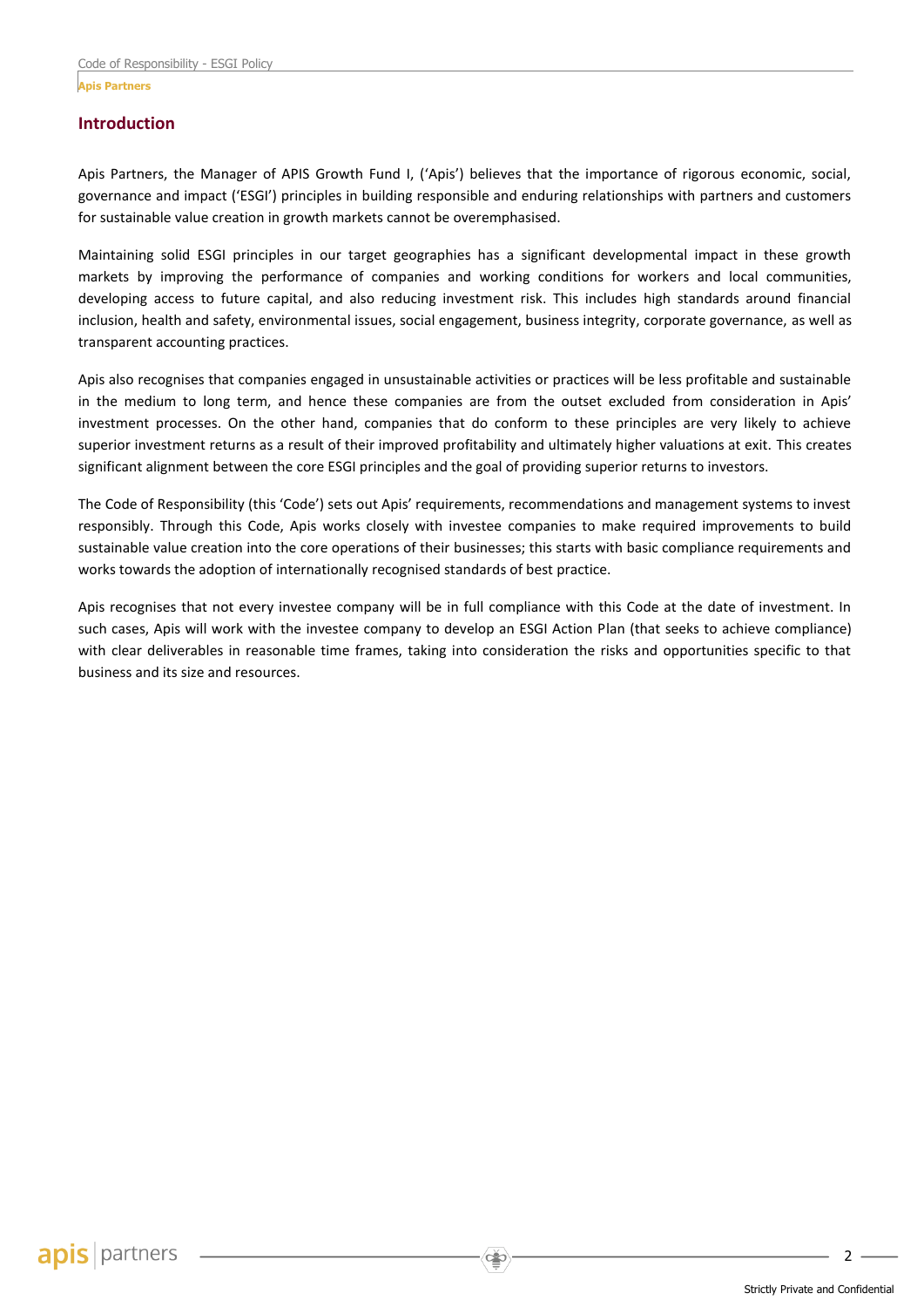#### **Introduction**

Apis Partners, the Manager of APIS Growth Fund I, ('Apis') believes that the importance of rigorous economic, social, governance and impact ('ESGI') principles in building responsible and enduring relationships with partners and customers for sustainable value creation in growth markets cannot be overemphasised.

Maintaining solid ESGI principles in our target geographies has a significant developmental impact in these growth markets by improving the performance of companies and working conditions for workers and local communities, developing access to future capital, and also reducing investment risk. This includes high standards around financial inclusion, health and safety, environmental issues, social engagement, business integrity, corporate governance, as well as transparent accounting practices.

Apis also recognises that companies engaged in unsustainable activities or practices will be less profitable and sustainable in the medium to long term, and hence these companies are from the outset excluded from consideration in Apis' investment processes. On the other hand, companies that do conform to these principles are very likely to achieve superior investment returns as a result of their improved profitability and ultimately higher valuations at exit. This creates significant alignment between the core ESGI principles and the goal of providing superior returns to investors.

The Code of Responsibility (this 'Code') sets out Apis' requirements, recommendations and management systems to invest responsibly. Through this Code, Apis works closely with investee companies to make required improvements to build sustainable value creation into the core operations of their businesses; this starts with basic compliance requirements and works towards the adoption of internationally recognised standards of best practice.

Apis recognises that not every investee company will be in full compliance with this Code at the date of investment. In such cases, Apis will work with the investee company to develop an ESGI Action Plan (that seeks to achieve compliance) with clear deliverables in reasonable time frames, taking into consideration the risks and opportunities specific to that business and its size and resources.

 $\mathcal{D}$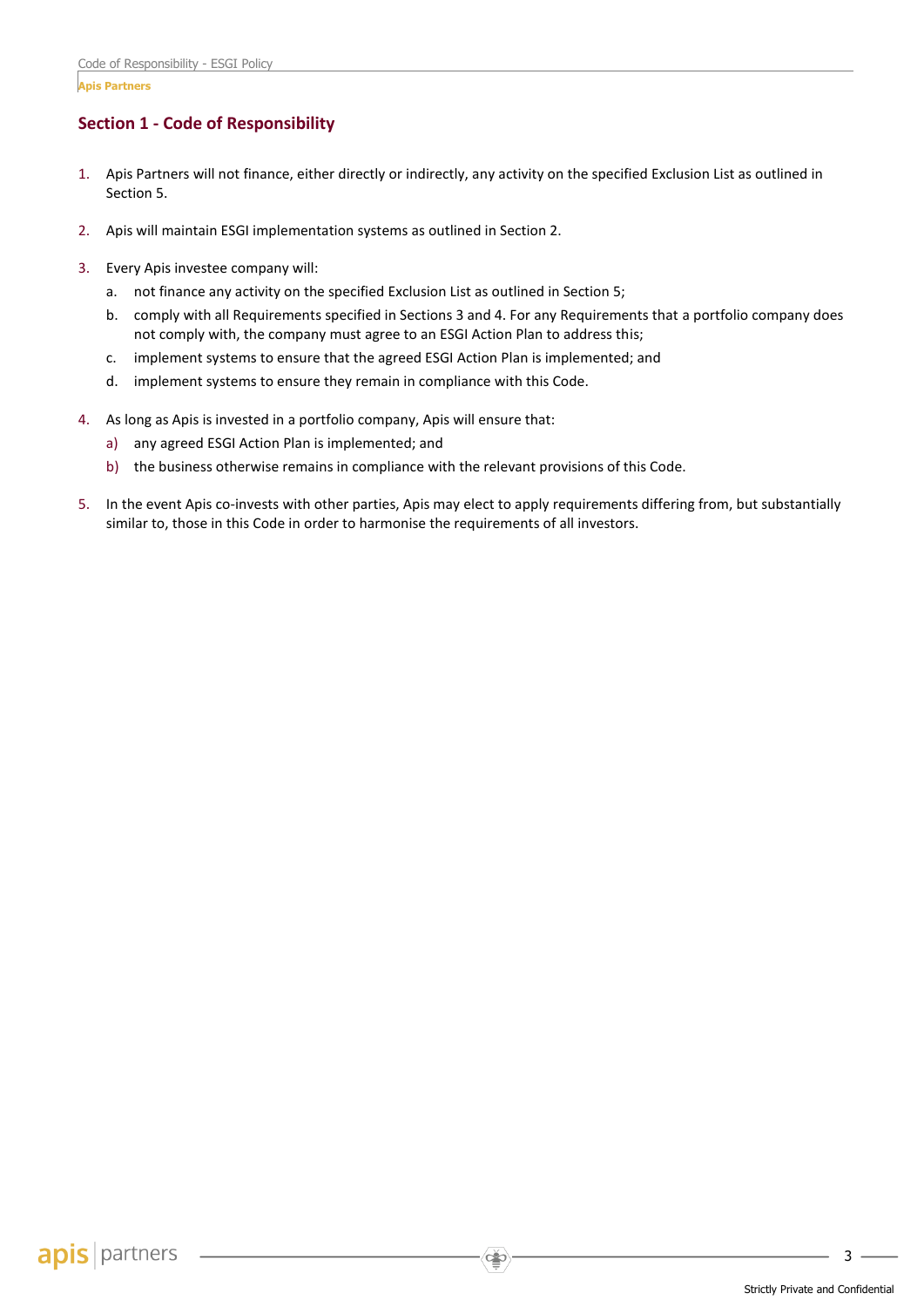# **Section 1 - Code of Responsibility**

- 1. Apis Partners will not finance, either directly or indirectly, any activity on the specified Exclusion List as outlined in Section 5.
- 2. Apis will maintain ESGI implementation systems as outlined in Section 2.
- 3. Every Apis investee company will:
	- a. not finance any activity on the specified Exclusion List as outlined in Section 5;
	- b. comply with all Requirements specified in Sections 3 and 4. For any Requirements that a portfolio company does not comply with, the company must agree to an ESGI Action Plan to address this;
	- c. implement systems to ensure that the agreed ESGI Action Plan is implemented; and
	- d. implement systems to ensure they remain in compliance with this Code.
- 4. As long as Apis is invested in a portfolio company, Apis will ensure that:
	- a) any agreed ESGI Action Plan is implemented; and
	- b) the business otherwise remains in compliance with the relevant provisions of this Code.
- 5. In the event Apis co-invests with other parties, Apis may elect to apply requirements differing from, but substantially similar to, those in this Code in order to harmonise the requirements of all investors.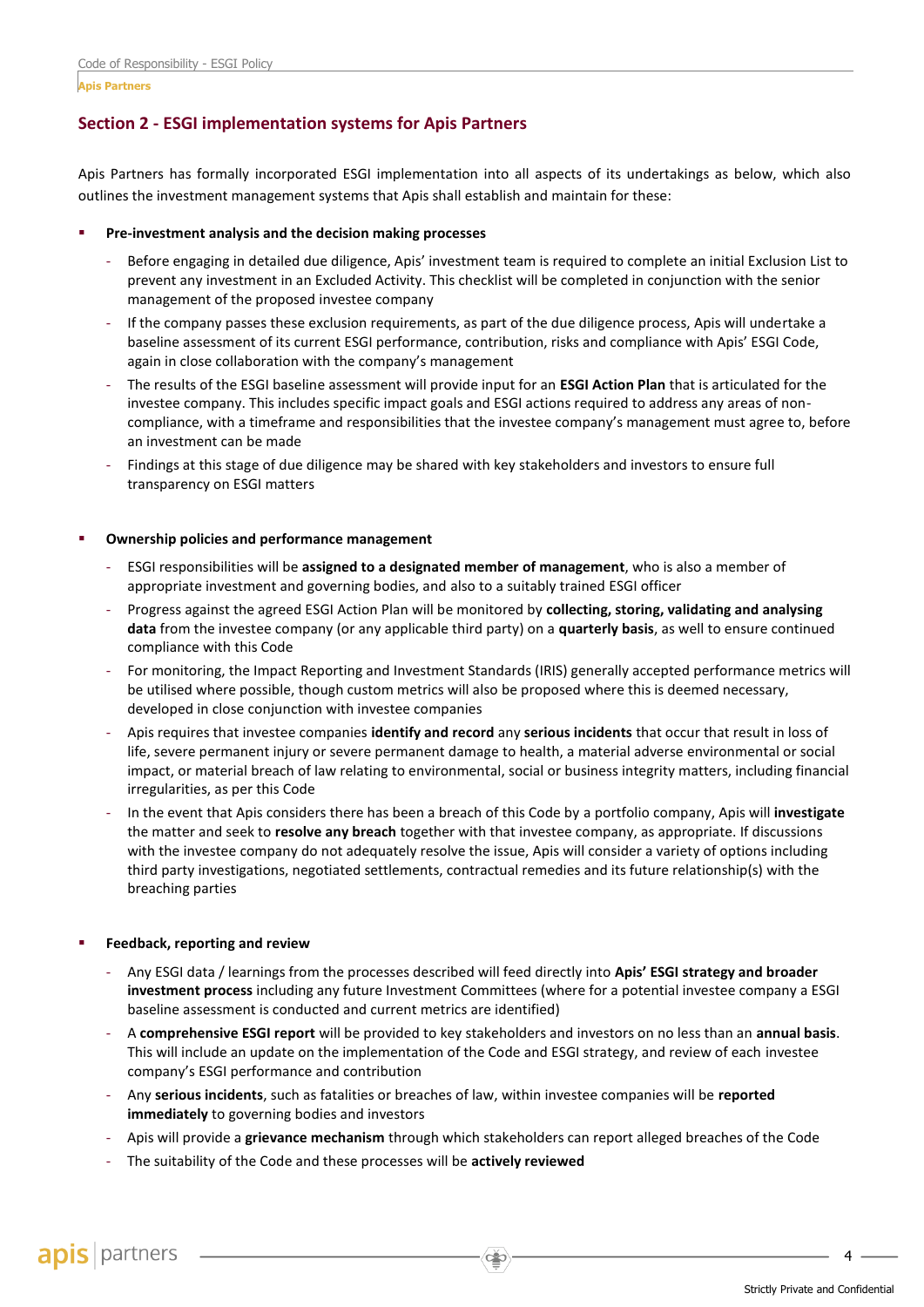**Apis Partners**

# **Section 2 - ESGI implementation systems for Apis Partners**

Apis Partners has formally incorporated ESGI implementation into all aspects of its undertakings as below, which also outlines the investment management systems that Apis shall establish and maintain for these:

#### **Pre-investment analysis and the decision making processes**

- Before engaging in detailed due diligence, Apis' investment team is required to complete an initial Exclusion List to prevent any investment in an Excluded Activity. This checklist will be completed in conjunction with the senior management of the proposed investee company
- If the company passes these exclusion requirements, as part of the due diligence process, Apis will undertake a baseline assessment of its current ESGI performance, contribution, risks and compliance with Apis' ESGI Code, again in close collaboration with the company's management
- The results of the ESGI baseline assessment will provide input for an **ESGI Action Plan** that is articulated for the investee company. This includes specific impact goals and ESGI actions required to address any areas of noncompliance, with a timeframe and responsibilities that the investee company's management must agree to, before an investment can be made
- Findings at this stage of due diligence may be shared with key stakeholders and investors to ensure full transparency on ESGI matters

#### **Ownership policies and performance management**

- ESGI responsibilities will be **assigned to a designated member of management**, who is also a member of appropriate investment and governing bodies, and also to a suitably trained ESGI officer
- Progress against the agreed ESGI Action Plan will be monitored by **collecting, storing, validating and analysing data** from the investee company (or any applicable third party) on a **quarterly basis**, as well to ensure continued compliance with this Code
- For monitoring, the Impact Reporting and Investment Standards (IRIS) generally accepted performance metrics will be utilised where possible, though custom metrics will also be proposed where this is deemed necessary, developed in close conjunction with investee companies
- Apis requires that investee companies **identify and record** any **serious incidents** that occur that result in loss of life, severe permanent injury or severe permanent damage to health, a material adverse environmental or social impact, or material breach of law relating to environmental, social or business integrity matters, including financial irregularities, as per this Code
- In the event that Apis considers there has been a breach of this Code by a portfolio company, Apis will **investigate** the matter and seek to **resolve any breach** together with that investee company, as appropriate. If discussions with the investee company do not adequately resolve the issue, Apis will consider a variety of options including third party investigations, negotiated settlements, contractual remedies and its future relationship(s) with the breaching parties

#### **Feedback, reporting and review**

- Any ESGI data / learnings from the processes described will feed directly into **Apis' ESGI strategy and broader investment process** including any future Investment Committees (where for a potential investee company a ESGI baseline assessment is conducted and current metrics are identified)
- A **comprehensive ESGI report** will be provided to key stakeholders and investors on no less than an **annual basis**. This will include an update on the implementation of the Code and ESGI strategy, and review of each investee company's ESGI performance and contribution
- Any **serious incidents**, such as fatalities or breaches of law, within investee companies will be **reported immediately** to governing bodies and investors
- Apis will provide a **grievance mechanism** through which stakeholders can report alleged breaches of the Code

 $\sum_{i=1}^{n}$ 

- The suitability of the Code and these processes will be **actively reviewed**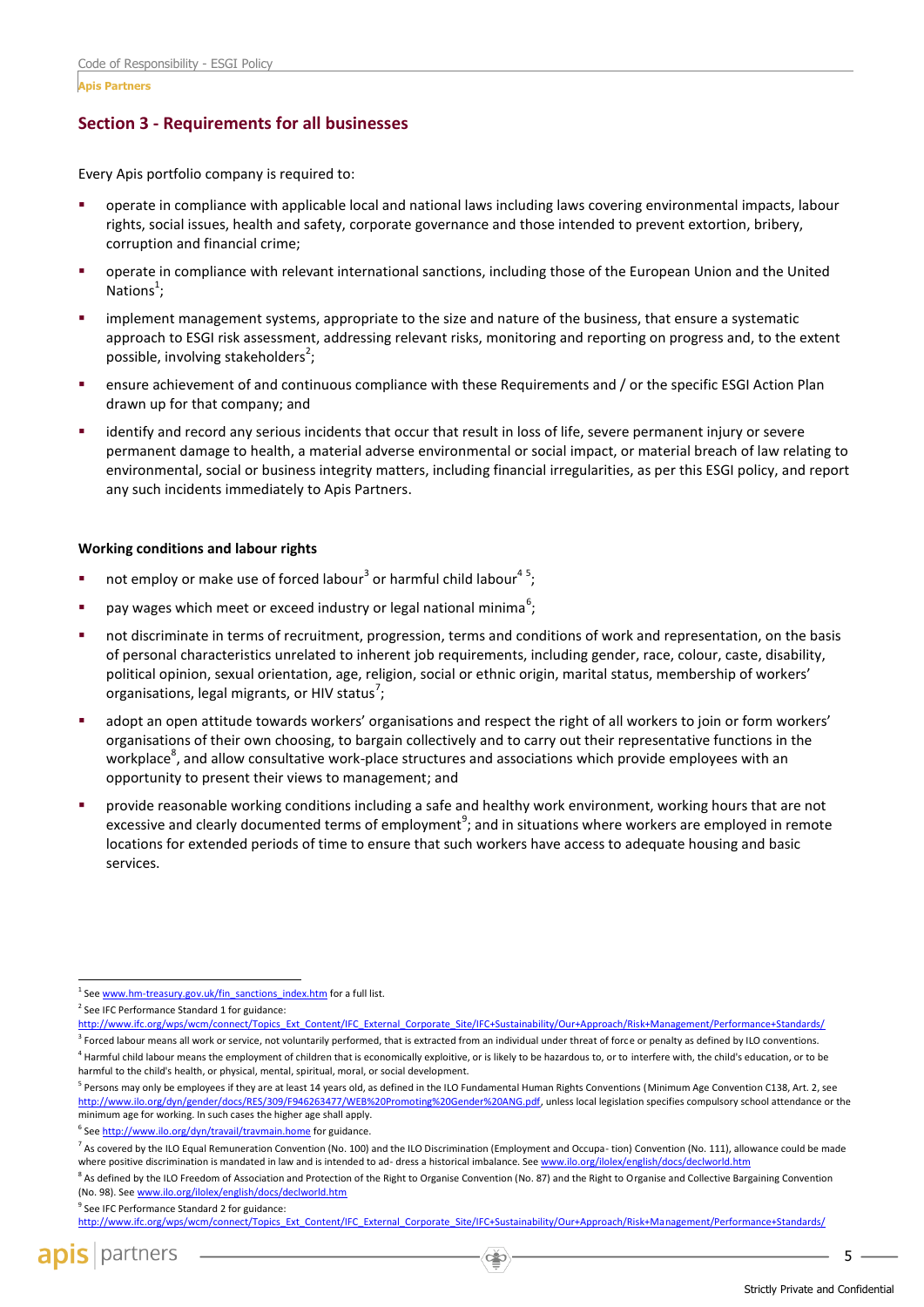# **Section 3 - Requirements for all businesses**

Every Apis portfolio company is required to:

- operate in compliance with applicable local and national laws including laws covering environmental impacts, labour rights, social issues, health and safety, corporate governance and those intended to prevent extortion, bribery, corruption and financial crime;
- operate in compliance with relevant international sanctions, including those of the European Union and the United Nations<sup>1</sup>;
- implement management systems, appropriate to the size and nature of the business, that ensure a systematic approach to ESGI risk assessment, addressing relevant risks, monitoring and reporting on progress and, to the extent possible, involving stakeholders<sup>2</sup>;
- ensure achievement of and continuous compliance with these Requirements and / or the specific ESGI Action Plan drawn up for that company; and
- identify and record any serious incidents that occur that result in loss of life, severe permanent injury or severe permanent damage to health, a material adverse environmental or social impact, or material breach of law relating to environmental, social or business integrity matters, including financial irregularities, as per this ESGI policy, and report any such incidents immediately to Apis Partners.

#### **Working conditions and labour rights**

- $\blacksquare$  not employ or make use of forced labour<sup>3</sup> or harmful child labour<sup>45</sup>;
- **•** pay wages which meet or exceed industry or legal national minima<sup>6</sup>;
- not discriminate in terms of recruitment, progression, terms and conditions of work and representation, on the basis of personal characteristics unrelated to inherent job requirements, including gender, race, colour, caste, disability, political opinion, sexual orientation, age, religion, social or ethnic origin, marital status, membership of workers' organisations, legal migrants, or HIV status<sup>7</sup>;
- adopt an open attitude towards workers' organisations and respect the right of all workers to join or form workers' organisations of their own choosing, to bargain collectively and to carry out their representative functions in the workplace<sup>8</sup>, and allow consultative work-place structures and associations which provide employees with an opportunity to present their views to management; and
- provide reasonable working conditions including a safe and healthy work environment, working hours that are not excessive and clearly documented terms of employment<sup>9</sup>; and in situations where workers are employed in remote locations for extended periods of time to ensure that such workers have access to adequate housing and basic services.

<sup>3</sup> Forced labour means all work or service, not voluntarily performed, that is extracted from an individual under threat of force or penalty as defined by ILO conventions. <sup>4</sup> Harmful child labour means the employment of children that is economically exploitive, or is likely to be hazardous to, or to interfere with, the child's education, or to be

harmful to the child's health, or physical, mental, spiritual, moral, or social development.

<sup>6</sup> See http://wv w.ilo.org/dyn/travail/travmain.home for guidance.

<sup>9</sup> See IFC Performance Standard 2 for guidance:

j <sup>1</sup> Se[e www.hm-treasury.gov.uk/fin\\_sanctions\\_index.htm](http://www.hm-treasury.gov.uk/fin_sanctions_index.htm) for a full list.

<sup>&</sup>lt;sup>2</sup> See IFC Performance Standard 1 for guidance:

[http://www.ifc.org/wps/wcm/connect/Topics\\_Ext\\_Content/IFC\\_External\\_Corporate\\_Site/IFC+Sustainability/Our+Approach/Risk+Management/Performance+Standards/](http://www.ifc.org/wps/wcm/connect/Topics_Ext_Content/IFC_External_Corporate_Site/IFC+Sustainability/Our+Approach/Risk+Management/Performance+Standards/)

<sup>&</sup>lt;sup>5</sup> Persons may only be employees if they are at least 14 years old, as defined in the ILO Fundamental Human Rights Conventions (Minimum Age Convention C138, Art. 2, see [http://www.ilo.org/dyn/gender/docs/RES/309/F946263477/WEB%20Promoting%20Gender%20ANG.pdf,](http://www.ilo.org/dyn/gender/docs/RES/309/F946263477/WEB%20Promoting%20Gender%20ANG.pdf) unless local legislation specifies compulsory school attendance or the minimum age for working. In such cases the higher age shall apply.

<sup>&</sup>lt;sup>7</sup> As covered by the ILO Equal Remuneration Convention (No. 100) and the ILO Discrimination (Employment and Occupa-tion) Convention (No. 111), allowance could be made where positive discrimination is mandated in law and is intended to ad- dress a historical imbalance. Se[e www.ilo.org/ilolex/english/docs/declworld.htm](http://www.ilo.org/ilolex/english/docs/declworld.htm)

<sup>&</sup>lt;sup>8</sup> As defined by the ILO Freedom of Association and Protection of the Right to Organise Convention (No. 87) and the Right to Organise and Collective Bargaining Convention (No. 98). Se[e www.ilo.org/ilolex/english/docs/declworld.htm](http://www.ilo.org/ilolex/english/docs/declworld.htm)

[http://www.ifc.org/wps/wcm/connect/Topics\\_Ext\\_Content/IFC\\_External\\_Corporate\\_Site/IFC+Sustainability/Our+Approach/Risk+Management/Performance+Standards/](http://www.ifc.org/wps/wcm/connect/Topics_Ext_Content/IFC_External_Corporate_Site/IFC+Sustainability/Our+Approach/Risk+Management/Performance+Standards/)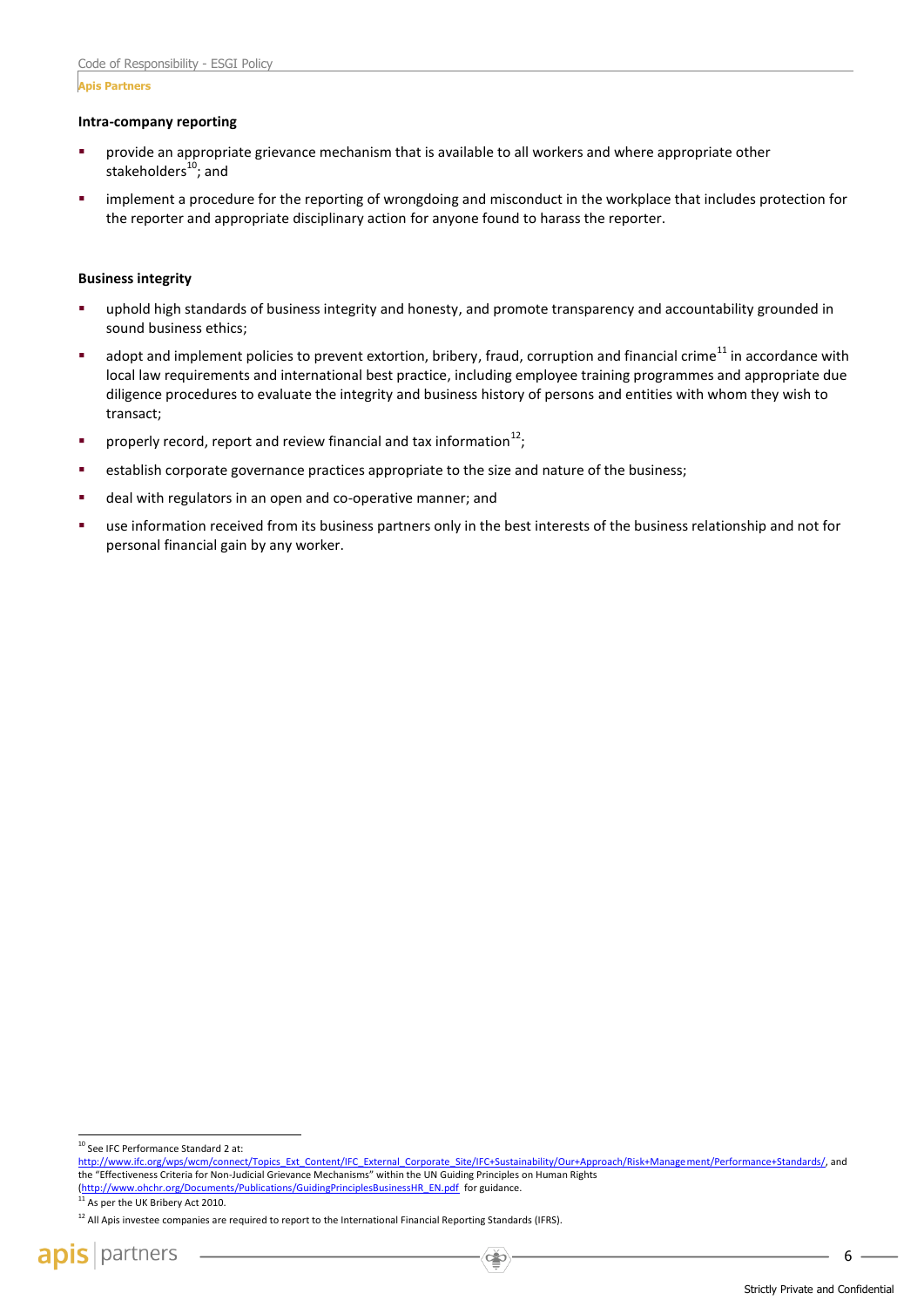#### **Apis Partners**

#### **Intra-company reporting**

- provide an appropriate grievance mechanism that is available to all workers and where appropriate other stakeholders $^{10}$ ; and
- implement a procedure for the reporting of wrongdoing and misconduct in the workplace that includes protection for the reporter and appropriate disciplinary action for anyone found to harass the reporter.

#### **Business integrity**

- uphold high standards of business integrity and honesty, and promote transparency and accountability grounded in sound business ethics;
- adopt and implement policies to prevent extortion, bribery, fraud, corruption and financial crime<sup>11</sup> in accordance with local law requirements and international best practice, including employee training programmes and appropriate due diligence procedures to evaluate the integrity and business history of persons and entities with whom they wish to transact;
- **•** properly record, report and review financial and tax information<sup>12</sup>;
- establish corporate governance practices appropriate to the size and nature of the business;
- deal with regulators in an open and co-operative manner; and
- use information received from its business partners only in the best interests of the business relationship and not for personal financial gain by any worker.

j <sup>10</sup> See IFC Performance Standard 2 at:

[http://www.ifc.org/wps/wcm/connect/Topics\\_Ext\\_Content/IFC\\_External\\_Corporate\\_Site/IFC+Sustainability/Our+Approach/Risk+Management/Performance+Standards/,](http://www.ifc.org/wps/wcm/connect/Topics_Ext_Content/IFC_External_Corporate_Site/IFC+Sustainability/Our+Approach/Risk+Management/Performance+Standards/) and the "Effectiveness Criteria for Non-Judicial Grievance Mechanisms" within the UN Guiding Principles on Human Rights (<u>http://www.ohchr.org/Documents/Publications/GuidingPrinciplesBusinessHR\_EN.pdf</u> for guidance.<br><sup>11</sup> As per the UK Bribery Act 2010.

<sup>&</sup>lt;sup>12</sup> All Apis investee companies are required to report to the International Financial Reporting Standards (IFRS).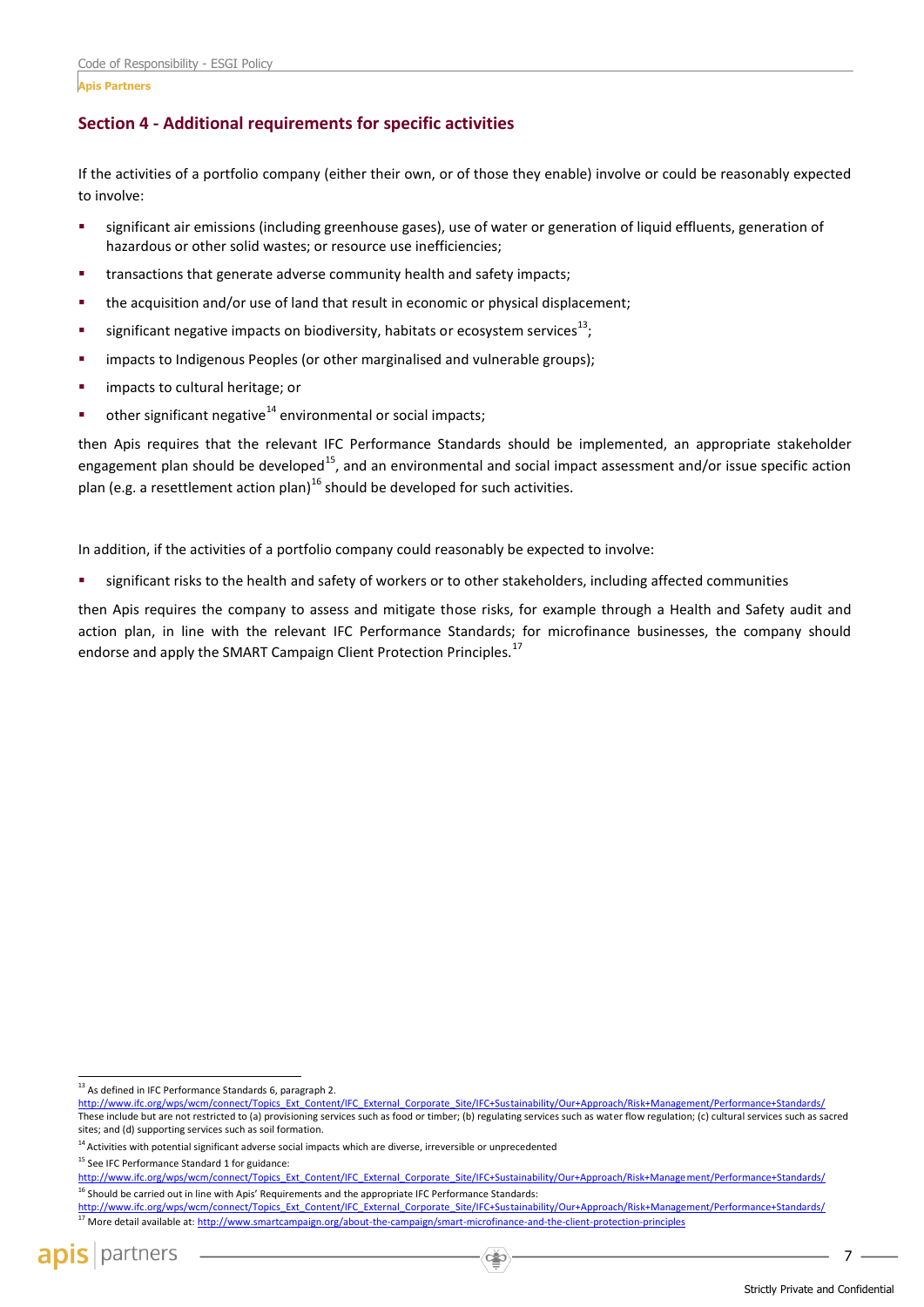**Apis Partners**

# **Section 4 - Additional requirements for specific activities**

If the activities of a portfolio company (either their own, or of those they enable) involve or could be reasonably expected to involve:

- significant air emissions (including greenhouse gases), use of water or generation of liquid effluents, generation of hazardous or other solid wastes; or resource use inefficiencies;
- transactions that generate adverse community health and safety impacts;
- the acquisition and/or use of land that result in economic or physical displacement;
- **significant negative impacts on biodiversity, habitats or ecosystem services**<sup>13</sup>;
- impacts to Indigenous Peoples (or other marginalised and vulnerable groups);
- impacts to cultural heritage; or
- other significant negative $14$  environmental or social impacts;

then Apis requires that the relevant IFC Performance Standards should be implemented, an appropriate stakeholder engagement plan should be developed<sup>15</sup>, and an environmental and social impact assessment and/or issue specific action plan (e.g. a resettlement action plan)<sup>16</sup> should be developed for such activities.

In addition, if the activities of a portfolio company could reasonably be expected to involve:

significant risks to the health and safety of workers or to other stakeholders, including affected communities

then Apis requires the company to assess and mitigate those risks, for example through a Health and Safety audit and action plan, in line with the relevant IFC Performance Standards; for microfinance businesses, the company should endorse and apply the SMART Campaign Client Protection Principles.<sup>17</sup>

<sup>15</sup> See IFC Performance Standard 1 for guidance:

j

<sup>&</sup>lt;sup>13</sup> As defined in IFC Performance Standards 6, paragraph 2.

[http://www.ifc.org/wps/wcm/connect/Topics\\_Ext\\_Content/IFC\\_External\\_Corporate\\_Site/IFC+Sustainability/Our+Approach/Risk+Management/Performance+Standards/](http://www.ifc.org/wps/wcm/connect/Topics_Ext_Content/IFC_External_Corporate_Site/IFC+Sustainability/Our+Approach/Risk+Management/Performance+Standards/) These include but are not restricted to (a) provisioning services such as food or timber; (b) regulating services such as water flow regulation; (c) cultural services such as sacred sites; and (d) supporting services such as soil formation.

<sup>&</sup>lt;sup>14</sup> Activities with potential significant adverse social impacts which are diverse, irreversible or unprecedented

[http://www.ifc.org/wps/wcm/connect/Topics\\_Ext\\_Content/IFC\\_External\\_Corporate\\_Site/IFC+Sustainability/Our+Approach/Risk+Management/Performance+Standards/](http://www.ifc.org/wps/wcm/connect/Topics_Ext_Content/IFC_External_Corporate_Site/IFC+Sustainability/Our+Approach/Risk+Management/Performance+Standards/) <sup>16</sup> Should be carried out in line with Apis' Requirements and the appropriate IFC Performance Standards:

[http://www.ifc.org/wps/wcm/connect/Topics\\_Ext\\_Content/IFC\\_External\\_Corporate\\_Site/IFC+Sustainability/Our+Approach/Risk+Management/Performance+Standards/](http://www.ifc.org/wps/wcm/connect/Topics_Ext_Content/IFC_External_Corporate_Site/IFC+Sustainability/Our+Approach/Risk+Management/Performance+Standards/) <sup>17</sup> More detail available at[: http://www.smartcampaign.org/about-the-campaign/smart-microfinance-and-the-client-protection-principles](http://www.smartcampaign.org/about-the-campaign/smart-microfinance-and-the-client-protection-principles)